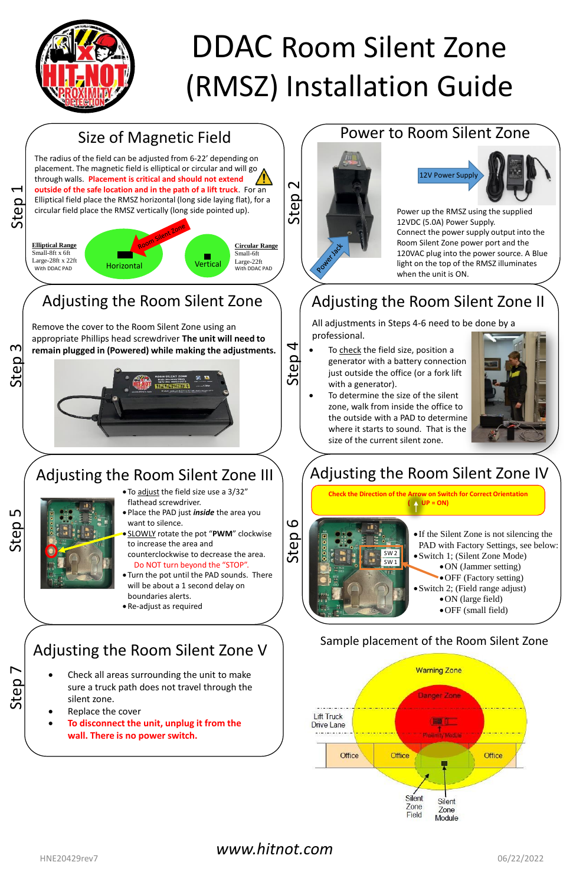# Size of Magnetic Field

# Power to Room Silent Zone



Power up the RMSZ using the supplied 12VDC (5.0A) Power Supply. Connect the power supply output into the Room Silent Zone power port and the 120VAC plug into the power source. A Blue light on the top of the RMSZ illuminates when the unit is ON.

- To check the field size, position a generator with a battery connection just outside the office (or a fork lift with a generator).
- To determine the size of the silent zone, walk from inside the office to the outside with a PAD to determine where it starts to sound. That is the size of the current silent zone.



# Adjusting the Room Silent Zone II

All adjustments in Steps 4-6 need to be done by a professional.



- 
- Do NOT turn beyond the "STOP". • Turn the pot until the PAD sounds. There
- will be about a 1 second delay on boundaries alerts.
- Re-adjust as required

Step 5

### Adjusting the Room Silent Zone V

- Check all areas surrounding the unit to make sure a truck path does not travel through the silent zone.
- Replace the cover
- **To disconnect the unit, unplug it from the wall. There is no power switch.**





# DDAC Room Silent Zone (RMSZ) Installation Guide

### Sample placement of the Room Silent Zone

### *www.hitnot.com*

HNE20429rev7 06/22/2022

# Adjusting the Room Silent Zone IV



**Check the Direction of the Arrow on Switch for Correct Orientation ( UP = ON)**



- If the Silent Zone is not silencing the PAD with Factory Settings, see below: •Switch 1; (Silent Zone Mode) •ON (Jammer setting)
	- •OFF (Factory setting)
- Switch 2; (Field range adjust)
	- ON (large field)
	- •OFF (small field)